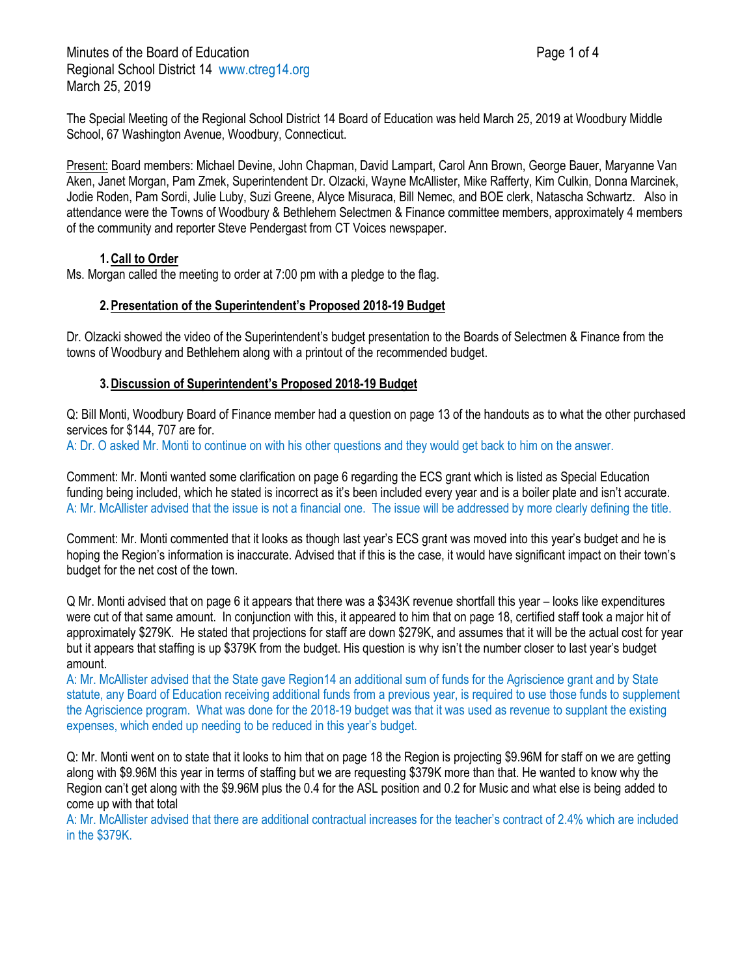The Special Meeting of the Regional School District 14 Board of Education was held March 25, 2019 at Woodbury Middle School, 67 Washington Avenue, Woodbury, Connecticut.

Present: Board members: Michael Devine, John Chapman, David Lampart, Carol Ann Brown, George Bauer, Maryanne Van Aken, Janet Morgan, Pam Zmek, Superintendent Dr. Olzacki, Wayne McAllister, Mike Rafferty, Kim Culkin, Donna Marcinek, Jodie Roden, Pam Sordi, Julie Luby, Suzi Greene, Alyce Misuraca, Bill Nemec, and BOE clerk, Natascha Schwartz. Also in attendance were the Towns of Woodbury & Bethlehem Selectmen & Finance committee members, approximately 4 members of the community and reporter Steve Pendergast from CT Voices newspaper.

## **1.Call to Order**

Ms. Morgan called the meeting to order at 7:00 pm with a pledge to the flag.

## **2.Presentation of the Superintendent's Proposed 2018-19 Budget**

Dr. Olzacki showed the video of the Superintendent's budget presentation to the Boards of Selectmen & Finance from the towns of Woodbury and Bethlehem along with a printout of the recommended budget.

## **3.Discussion of Superintendent's Proposed 2018-19 Budget**

Q: Bill Monti, Woodbury Board of Finance member had a question on page 13 of the handouts as to what the other purchased services for \$144, 707 are for.

A: Dr. O asked Mr. Monti to continue on with his other questions and they would get back to him on the answer.

Comment: Mr. Monti wanted some clarification on page 6 regarding the ECS grant which is listed as Special Education funding being included, which he stated is incorrect as it's been included every year and is a boiler plate and isn't accurate. A: Mr. McAllister advised that the issue is not a financial one. The issue will be addressed by more clearly defining the title.

Comment: Mr. Monti commented that it looks as though last year's ECS grant was moved into this year's budget and he is hoping the Region's information is inaccurate. Advised that if this is the case, it would have significant impact on their town's budget for the net cost of the town.

Q Mr. Monti advised that on page 6 it appears that there was a \$343K revenue shortfall this year – looks like expenditures were cut of that same amount. In conjunction with this, it appeared to him that on page 18, certified staff took a major hit of approximately \$279K. He stated that projections for staff are down \$279K, and assumes that it will be the actual cost for year but it appears that staffing is up \$379K from the budget. His question is why isn't the number closer to last year's budget amount.

A: Mr. McAllister advised that the State gave Region14 an additional sum of funds for the Agriscience grant and by State statute, any Board of Education receiving additional funds from a previous year, is required to use those funds to supplement the Agriscience program. What was done for the 2018-19 budget was that it was used as revenue to supplant the existing expenses, which ended up needing to be reduced in this year's budget.

Q: Mr. Monti went on to state that it looks to him that on page 18 the Region is projecting \$9.96M for staff on we are getting along with \$9.96M this year in terms of staffing but we are requesting \$379K more than that. He wanted to know why the Region can't get along with the \$9.96M plus the 0.4 for the ASL position and 0.2 for Music and what else is being added to come up with that total

A: Mr. McAllister advised that there are additional contractual increases for the teacher's contract of 2.4% which are included in the \$379K.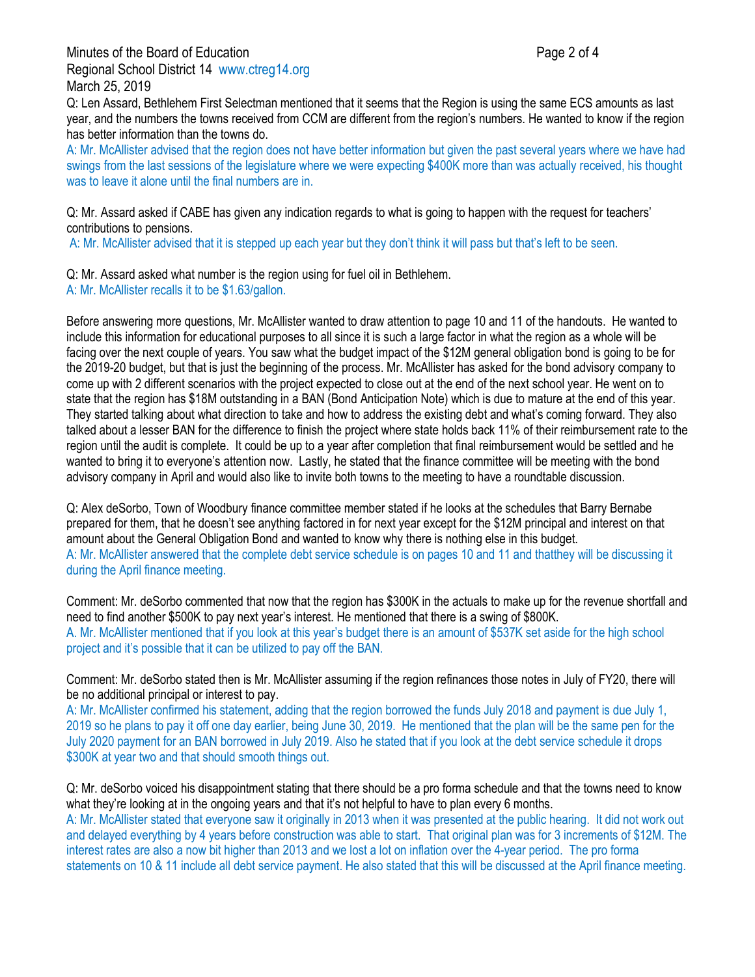Minutes of the Board of Education **Page 2 of 4** and 2 of 4 Regional School District 14 www.ctreg14.org March 25, 2019

Q: Len Assard, Bethlehem First Selectman mentioned that it seems that the Region is using the same ECS amounts as last year, and the numbers the towns received from CCM are different from the region's numbers. He wanted to know if the region has better information than the towns do.

A: Mr. McAllister advised that the region does not have better information but given the past several years where we have had swings from the last sessions of the legislature where we were expecting \$400K more than was actually received, his thought was to leave it alone until the final numbers are in.

Q: Mr. Assard asked if CABE has given any indication regards to what is going to happen with the request for teachers' contributions to pensions.

A: Mr. McAllister advised that it is stepped up each year but they don't think it will pass but that's left to be seen.

Q: Mr. Assard asked what number is the region using for fuel oil in Bethlehem. A: Mr. McAllister recalls it to be \$1.63/gallon.

Before answering more questions, Mr. McAllister wanted to draw attention to page 10 and 11 of the handouts. He wanted to include this information for educational purposes to all since it is such a large factor in what the region as a whole will be facing over the next couple of years. You saw what the budget impact of the \$12M general obligation bond is going to be for the 2019-20 budget, but that is just the beginning of the process. Mr. McAllister has asked for the bond advisory company to come up with 2 different scenarios with the project expected to close out at the end of the next school year. He went on to state that the region has \$18M outstanding in a BAN (Bond Anticipation Note) which is due to mature at the end of this year. They started talking about what direction to take and how to address the existing debt and what's coming forward. They also talked about a lesser BAN for the difference to finish the project where state holds back 11% of their reimbursement rate to the region until the audit is complete. It could be up to a year after completion that final reimbursement would be settled and he wanted to bring it to everyone's attention now. Lastly, he stated that the finance committee will be meeting with the bond advisory company in April and would also like to invite both towns to the meeting to have a roundtable discussion.

Q: Alex deSorbo, Town of Woodbury finance committee member stated if he looks at the schedules that Barry Bernabe prepared for them, that he doesn't see anything factored in for next year except for the \$12M principal and interest on that amount about the General Obligation Bond and wanted to know why there is nothing else in this budget. A: Mr. McAllister answered that the complete debt service schedule is on pages 10 and 11 and thatthey will be discussing it during the April finance meeting.

Comment: Mr. deSorbo commented that now that the region has \$300K in the actuals to make up for the revenue shortfall and need to find another \$500K to pay next year's interest. He mentioned that there is a swing of \$800K. A. Mr. McAllister mentioned that if you look at this year's budget there is an amount of \$537K set aside for the high school project and it's possible that it can be utilized to pay off the BAN.

Comment: Mr. deSorbo stated then is Mr. McAllister assuming if the region refinances those notes in July of FY20, there will be no additional principal or interest to pay.

A: Mr. McAllister confirmed his statement, adding that the region borrowed the funds July 2018 and payment is due July 1, 2019 so he plans to pay it off one day earlier, being June 30, 2019. He mentioned that the plan will be the same pen for the July 2020 payment for an BAN borrowed in July 2019. Also he stated that if you look at the debt service schedule it drops \$300K at year two and that should smooth things out.

Q: Mr. deSorbo voiced his disappointment stating that there should be a pro forma schedule and that the towns need to know what they're looking at in the ongoing years and that it's not helpful to have to plan every 6 months.

A: Mr. McAllister stated that everyone saw it originally in 2013 when it was presented at the public hearing. It did not work out and delayed everything by 4 years before construction was able to start. That original plan was for 3 increments of \$12M. The interest rates are also a now bit higher than 2013 and we lost a lot on inflation over the 4-year period. The pro forma statements on 10 & 11 include all debt service payment. He also stated that this will be discussed at the April finance meeting.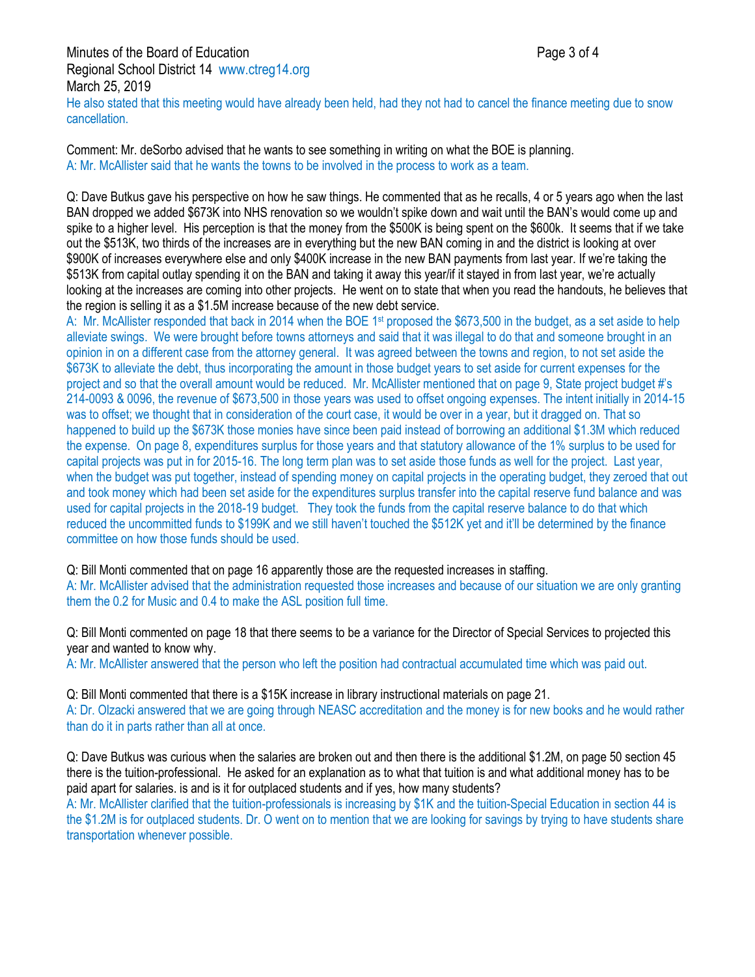Minutes of the Board of Education **Page 3 of 4** and 2 of 4 Regional School District 14 www.ctreg14.org March 25, 2019 He also stated that this meeting would have already been held, had they not had to cancel the finance meeting due to snow cancellation.

Comment: Mr. deSorbo advised that he wants to see something in writing on what the BOE is planning. A: Mr. McAllister said that he wants the towns to be involved in the process to work as a team.

Q: Dave Butkus gave his perspective on how he saw things. He commented that as he recalls, 4 or 5 years ago when the last BAN dropped we added \$673K into NHS renovation so we wouldn't spike down and wait until the BAN's would come up and spike to a higher level. His perception is that the money from the \$500K is being spent on the \$600k. It seems that if we take out the \$513K, two thirds of the increases are in everything but the new BAN coming in and the district is looking at over \$900K of increases everywhere else and only \$400K increase in the new BAN payments from last year. If we're taking the \$513K from capital outlay spending it on the BAN and taking it away this year/if it stayed in from last year, we're actually looking at the increases are coming into other projects. He went on to state that when you read the handouts, he believes that the region is selling it as a \$1.5M increase because of the new debt service.

A: Mr. McAllister responded that back in 2014 when the BOE 1<sup>st</sup> proposed the \$673,500 in the budget, as a set aside to help alleviate swings. We were brought before towns attorneys and said that it was illegal to do that and someone brought in an opinion in on a different case from the attorney general. It was agreed between the towns and region, to not set aside the \$673K to alleviate the debt, thus incorporating the amount in those budget years to set aside for current expenses for the project and so that the overall amount would be reduced. Mr. McAllister mentioned that on page 9, State project budget #'s 214-0093 & 0096, the revenue of \$673,500 in those years was used to offset ongoing expenses. The intent initially in 2014-15 was to offset; we thought that in consideration of the court case, it would be over in a year, but it dragged on. That so happened to build up the \$673K those monies have since been paid instead of borrowing an additional \$1.3M which reduced the expense. On page 8, expenditures surplus for those years and that statutory allowance of the 1% surplus to be used for capital projects was put in for 2015-16. The long term plan was to set aside those funds as well for the project. Last year, when the budget was put together, instead of spending money on capital projects in the operating budget, they zeroed that out and took money which had been set aside for the expenditures surplus transfer into the capital reserve fund balance and was used for capital projects in the 2018-19 budget. They took the funds from the capital reserve balance to do that which reduced the uncommitted funds to \$199K and we still haven't touched the \$512K yet and it'll be determined by the finance committee on how those funds should be used.

Q: Bill Monti commented that on page 16 apparently those are the requested increases in staffing. A: Mr. McAllister advised that the administration requested those increases and because of our situation we are only granting them the 0.2 for Music and 0.4 to make the ASL position full time.

Q: Bill Monti commented on page 18 that there seems to be a variance for the Director of Special Services to projected this year and wanted to know why.

A: Mr. McAllister answered that the person who left the position had contractual accumulated time which was paid out.

Q: Bill Monti commented that there is a \$15K increase in library instructional materials on page 21.

A: Dr. Olzacki answered that we are going through NEASC accreditation and the money is for new books and he would rather than do it in parts rather than all at once.

Q: Dave Butkus was curious when the salaries are broken out and then there is the additional \$1.2M, on page 50 section 45 there is the tuition-professional. He asked for an explanation as to what that tuition is and what additional money has to be paid apart for salaries. is and is it for outplaced students and if yes, how many students?

A: Mr. McAllister clarified that the tuition-professionals is increasing by \$1K and the tuition-Special Education in section 44 is the \$1.2M is for outplaced students. Dr. O went on to mention that we are looking for savings by trying to have students share transportation whenever possible.